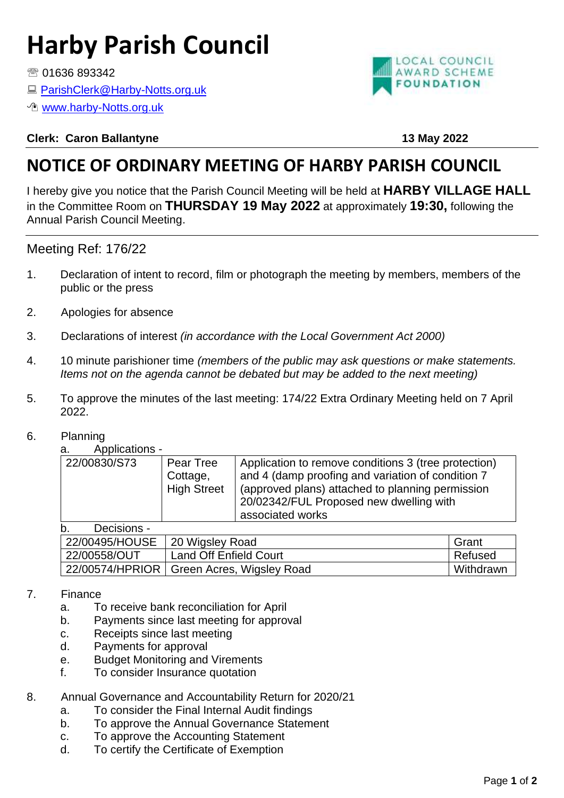# **Harby Parish Council**

● 01636 893342

■ [ParishClerk@Harby-Notts.org.uk](mailto:ParishClerk@Harby-Notts.org.uk)

*<sup>n</sup>* [www.harby-Notts.org.uk](http://www.harby-notts.org.uk/)

#### **Clerk: Caron Ballantyne 13 May 2022**

## **NOTICE OF ORDINARY MEETING OF HARBY PARISH COUNCIL**

I hereby give you notice that the Parish Council Meeting will be held at **HARBY VILLAGE HALL** in the Committee Room on **THURSDAY 19 May 2022** at approximately **19:30,** following the Annual Parish Council Meeting.

#### Meeting Ref: 176/22

- 1. Declaration of intent to record, film or photograph the meeting by members, members of the public or the press
- 2. Apologies for absence
- 3. Declarations of interest *(in accordance with the Local Government Act 2000)*
- 4. 10 minute parishioner time *(members of the public may ask questions or make statements. Items not on the agenda cannot be debated but may be added to the next meeting)*
- 5. To approve the minutes of the last meeting: 174/22 Extra Ordinary Meeting held on 7 April 2022.
- 6. Planning

a. Applications -

| u.,<br>טו וטוועטווער ו |                                             |                                                                                                                                                                                                                              |
|------------------------|---------------------------------------------|------------------------------------------------------------------------------------------------------------------------------------------------------------------------------------------------------------------------------|
| 22/00830/S73           | Pear Tree<br>Cottage,<br><b>High Street</b> | Application to remove conditions 3 (tree protection)<br>and 4 (damp proofing and variation of condition 7<br>(approved plans) attached to planning permission<br>20/02342/FUL Proposed new dwelling with<br>associated works |
| Dooioiono<br>ь         |                                             |                                                                                                                                                                                                                              |

b. Decisions -

| . .            |                                             |           |
|----------------|---------------------------------------------|-----------|
| 22/00495/HOUSE | 20 Wigsley Road                             | Grant     |
| 22/00558/OUT   | <b>Land Off Enfield Court</b>               | ∣ Refused |
|                | 22/00574/HPRIOR   Green Acres, Wigsley Road | Withdrawn |

#### 7. Finance

- a. To receive bank reconciliation for April
- b. Payments since last meeting for approval
- c. Receipts since last meeting
- d. Payments for approval
- e. Budget Monitoring and Virements
- f. To consider Insurance quotation

#### 8. Annual Governance and Accountability Return for 2020/21

- a. To consider the Final Internal Audit findings
- b. To approve the Annual Governance Statement
- c. To approve the Accounting Statement
- d. To certify the Certificate of Exemption